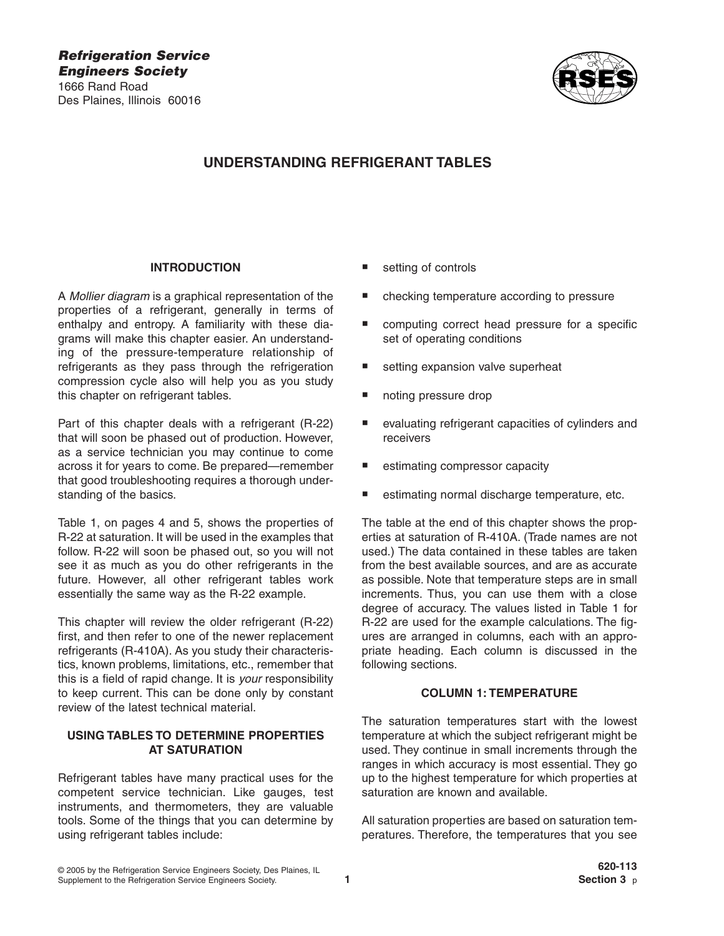

# **UNDERSTANDING REFRIGERANT TABLES**

#### **INTRODUCTION**

A *Mollier diagram* is a graphical representation of the properties of a refrigerant, generally in terms of enthalpy and entropy. A familiarity with these diagrams will make this chapter easier. An understanding of the pressure-temperature relationship of refrigerants as they pass through the refrigeration compression cycle also will help you as you study this chapter on refrigerant tables.

Part of this chapter deals with a refrigerant (R-22) that will soon be phased out of production. However, as a service technician you may continue to come across it for years to come. Be prepared—remember that good troubleshooting requires a thorough understanding of the basics.

Table 1, on pages 4 and 5, shows the properties of R-22 at saturation. It will be used in the examples that follow. R-22 will soon be phased out, so you will not see it as much as you do other refrigerants in the future. However, all other refrigerant tables work essentially the same way as the R-22 example.

This chapter will review the older refrigerant (R-22) first, and then refer to one of the newer replacement refrigerants (R-410A). As you study their characteristics, known problems, limitations, etc., remember that this is a field of rapid change. It is *your* responsibility to keep current. This can be done only by constant review of the latest technical material.

# **USING TABLES TO DETERMINE PROPERTIES AT SATURATION**

Refrigerant tables have many practical uses for the competent service technician. Like gauges, test instruments, and thermometers, they are valuable tools. Some of the things that you can determine by using refrigerant tables include:

- setting of controls
- checking temperature according to pressure
- computing correct head pressure for a specific set of operating conditions
- setting expansion valve superheat
- noting pressure drop
- evaluating refrigerant capacities of cylinders and receivers
- estimating compressor capacity
- estimating normal discharge temperature, etc.

The table at the end of this chapter shows the properties at saturation of R-410A. (Trade names are not used.) The data contained in these tables are taken from the best available sources, and are as accurate as possible. Note that temperature steps are in small increments. Thus, you can use them with a close degree of accuracy. The values listed in Table 1 for R-22 are used for the example calculations. The figures are arranged in columns, each with an appropriate heading. Each column is discussed in the following sections.

#### **COLUMN 1: TEMPERATURE**

The saturation temperatures start with the lowest temperature at which the subject refrigerant might be used. They continue in small increments through the ranges in which accuracy is most essential. They go up to the highest temperature for which properties at saturation are known and available.

All saturation properties are based on saturation temperatures. Therefore, the temperatures that you see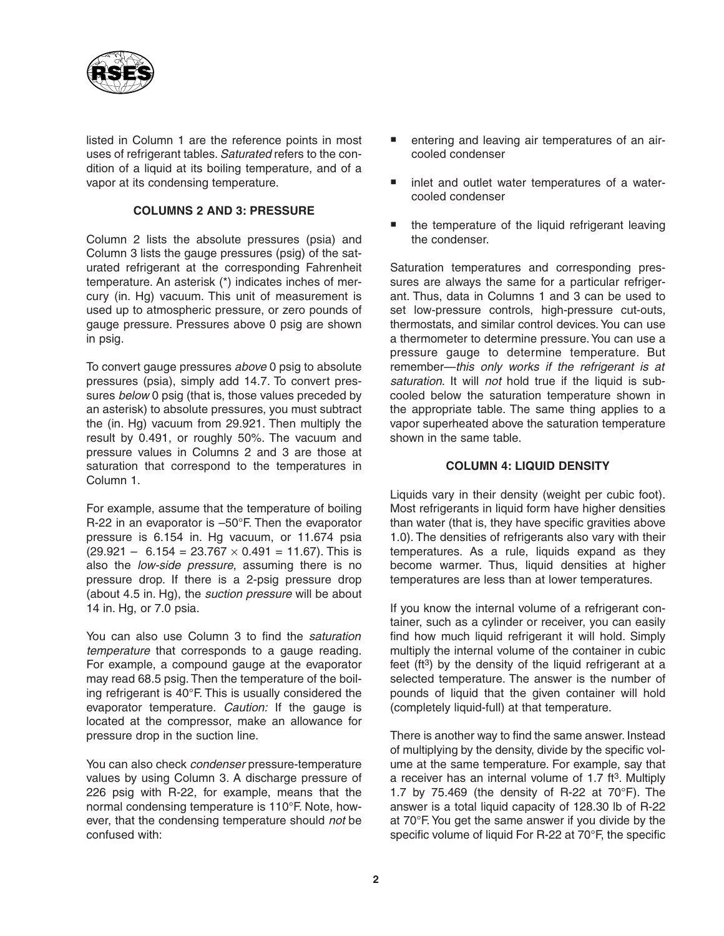

listed in Column 1 are the reference points in most uses of refrigerant tables. *Saturated* refers to the condition of a liquid at its boiling temperature, and of a vapor at its condensing temperature.

## **COLUMNS 2 AND 3: PRESSURE**

Column 2 lists the absolute pressures (psia) and Column 3 lists the gauge pressures (psig) of the saturated refrigerant at the corresponding Fahrenheit temperature. An asterisk (\*) indicates inches of mercury (in. Hg) vacuum. This unit of measurement is used up to atmospheric pressure, or zero pounds of gauge pressure. Pressures above 0 psig are shown in psig.

To convert gauge pressures *above* 0 psig to absolute pressures (psia), simply add 14.7. To convert pressures *below* 0 psig (that is, those values preceded by an asterisk) to absolute pressures, you must subtract the (in. Hg) vacuum from 29.921. Then multiply the result by 0.491, or roughly 50%. The vacuum and pressure values in Columns 2 and 3 are those at saturation that correspond to the temperatures in Column 1.

For example, assume that the temperature of boiling R-22 in an evaporator is –50°F. Then the evaporator pressure is 6.154 in. Hg vacuum, or 11.674 psia  $(29.921 - 6.154 = 23.767 \times 0.491 = 11.67)$ . This is also the *low-side pressure*, assuming there is no pressure drop. If there is a 2-psig pressure drop (about 4.5 in. Hg), the *suction pressure* will be about 14 in. Hg, or 7.0 psia.

You can also use Column 3 to find the *saturation temperature* that corresponds to a gauge reading. For example, a compound gauge at the evaporator may read 68.5 psig. Then the temperature of the boiling refrigerant is 40°F. This is usually considered the evaporator temperature. *Caution:* If the gauge is located at the compressor, make an allowance for pressure drop in the suction line.

You can also check *condenser* pressure-temperature values by using Column 3. A discharge pressure of 226 psig with R-22, for example, means that the normal condensing temperature is 110°F. Note, however, that the condensing temperature should *not* be confused with:

- entering and leaving air temperatures of an aircooled condenser
- inlet and outlet water temperatures of a watercooled condenser
- the temperature of the liquid refrigerant leaving the condenser.

Saturation temperatures and corresponding pressures are always the same for a particular refrigerant. Thus, data in Columns 1 and 3 can be used to set low-pressure controls, high-pressure cut-outs, thermostats, and similar control devices. You can use a thermometer to determine pressure. You can use a pressure gauge to determine temperature. But remember—*this only works if the refrigerant is at saturation*. It will *not* hold true if the liquid is subcooled below the saturation temperature shown in the appropriate table. The same thing applies to a vapor superheated above the saturation temperature shown in the same table.

### **COLUMN 4: LIQUID DENSITY**

Liquids vary in their density (weight per cubic foot). Most refrigerants in liquid form have higher densities than water (that is, they have specific gravities above 1.0). The densities of refrigerants also vary with their temperatures. As a rule, liquids expand as they become warmer. Thus, liquid densities at higher temperatures are less than at lower temperatures.

If you know the internal volume of a refrigerant container, such as a cylinder or receiver, you can easily find how much liquid refrigerant it will hold. Simply multiply the internal volume of the container in cubic feet ( $ft^3$ ) by the density of the liquid refrigerant at a selected temperature. The answer is the number of pounds of liquid that the given container will hold (completely liquid-full) at that temperature.

There is another way to find the same answer. Instead of multiplying by the density, divide by the specific volume at the same temperature. For example, say that a receiver has an internal volume of  $1.7$  ft<sup>3</sup>. Multiply 1.7 by  $75.469$  (the density of R-22 at  $70^{\circ}$ F). The answer is a total liquid capacity of 128.30 lb of R-22 at 70°F. You get the same answer if you divide by the specific volume of liquid For R-22 at 70°F, the specific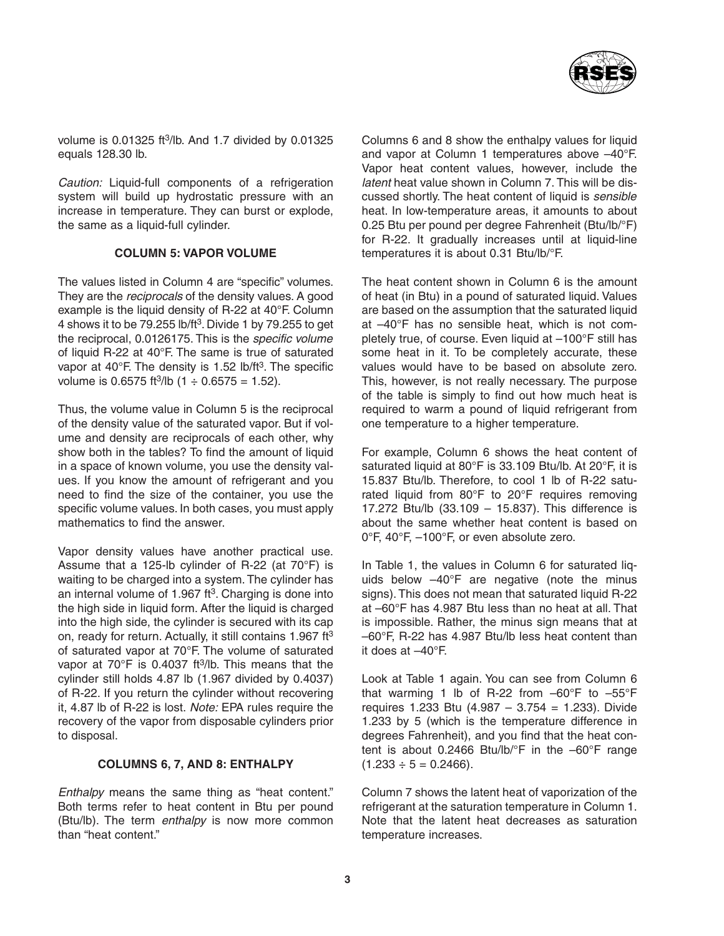

volume is  $0.01325$  ft<sup>3</sup>/lb. And 1.7 divided by  $0.01325$ equals 128.30 lb.

*Caution:* Liquid-full components of a refrigeration system will build up hydrostatic pressure with an increase in temperature. They can burst or explode, the same as a liquid-full cylinder.

#### **COLUMN 5: VAPOR VOLUME**

The values listed in Column 4 are "specific" volumes. They are the *reciprocals* of the density values. A good example is the liquid density of R-22 at 40°F. Column 4 shows it to be 79.255 lb/ft3. Divide 1 by 79.255 to get the reciprocal, 0.0126175. This is the *specific volume* of liquid R-22 at 40°F. The same is true of saturated vapor at  $40^{\circ}$ F. The density is 1.52 lb/ft<sup>3</sup>. The specific volume is 0.6575 ft<sup>3</sup>/lb  $(1 \div 0.6575 = 1.52)$ .

Thus, the volume value in Column 5 is the reciprocal of the density value of the saturated vapor. But if volume and density are reciprocals of each other, why show both in the tables? To find the amount of liquid in a space of known volume, you use the density values. If you know the amount of refrigerant and you need to find the size of the container, you use the specific volume values. In both cases, you must apply mathematics to find the answer.

Vapor density values have another practical use. Assume that a 125-lb cylinder of R-22 (at 70°F) is waiting to be charged into a system. The cylinder has an internal volume of  $1.967$  ft<sup>3</sup>. Charging is done into the high side in liquid form. After the liquid is charged into the high side, the cylinder is secured with its cap on, ready for return. Actually, it still contains 1.967 ft<sup>3</sup> of saturated vapor at 70°F. The volume of saturated vapor at  $70^{\circ}$ F is 0.4037 ft<sup>3</sup>/lb. This means that the cylinder still holds 4.87 lb (1.967 divided by 0.4037) of R-22. If you return the cylinder without recovering it, 4.87 lb of R-22 is lost. *Note:* EPA rules require the recovery of the vapor from disposable cylinders prior to disposal.

#### **COLUMNS 6, 7, AND 8: ENTHALPY**

*Enthalpy* means the same thing as "heat content." Both terms refer to heat content in Btu per pound (Btu/lb). The term *enthalpy* is now more common than "heat content."

Columns 6 and 8 show the enthalpy values for liquid and vapor at Column 1 temperatures above –40°F. Vapor heat content values, however, include the *latent* heat value shown in Column 7. This will be discussed shortly. The heat content of liquid is *sensible* heat. In low-temperature areas, it amounts to about 0.25 Btu per pound per degree Fahrenheit (Btu/lb/°F) for R-22. It gradually increases until at liquid-line temperatures it is about 0.31 Btu/lb/°F.

The heat content shown in Column 6 is the amount of heat (in Btu) in a pound of saturated liquid. Values are based on the assumption that the saturated liquid at –40°F has no sensible heat, which is not completely true, of course. Even liquid at –100°F still has some heat in it. To be completely accurate, these values would have to be based on absolute zero. This, however, is not really necessary. The purpose of the table is simply to find out how much heat is required to warm a pound of liquid refrigerant from one temperature to a higher temperature.

For example, Column 6 shows the heat content of saturated liquid at 80°F is 33.109 Btu/lb. At 20°F, it is 15.837 Btu/lb. Therefore, to cool 1 lb of R-22 saturated liquid from 80°F to 20°F requires removing 17.272 Btu/lb (33.109 – 15.837). This difference is about the same whether heat content is based on 0°F, 40°F, –100°F, or even absolute zero.

In Table 1, the values in Column 6 for saturated liquids below –40°F are negative (note the minus signs). This does not mean that saturated liquid R-22 at –60°F has 4.987 Btu less than no heat at all. That is impossible. Rather, the minus sign means that at –60°F, R-22 has 4.987 Btu/lb less heat content than it does at –40°F.

Look at Table 1 again. You can see from Column 6 that warming 1 lb of R-22 from  $-60^{\circ}$ F to  $-55^{\circ}$ F requires 1.233 Btu (4.987 – 3.754 = 1.233). Divide 1.233 by 5 (which is the temperature difference in degrees Fahrenheit), and you find that the heat content is about 0.2466 Btu/lb/°F in the –60°F range  $(1.233 \div 5 = 0.2466)$ .

Column 7 shows the latent heat of vaporization of the refrigerant at the saturation temperature in Column 1. Note that the latent heat decreases as saturation temperature increases.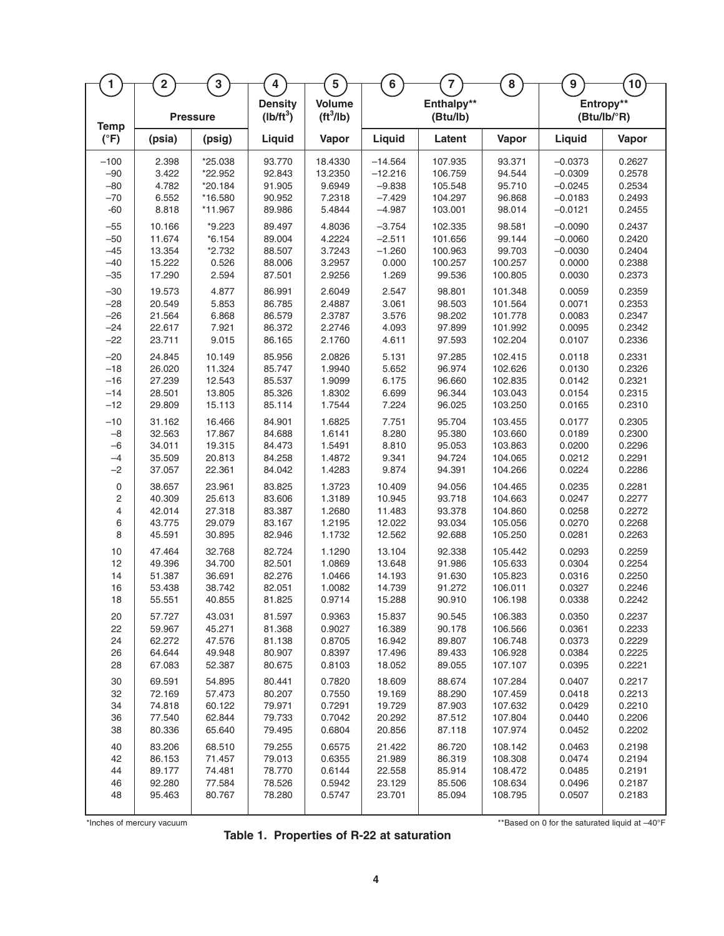| $\mathbf{1}$            | $\overline{\mathbf{2}}$ | $\mathbf 3$     | $\overline{\mathbf{4}}$       | $5\phantom{a}$               | $\bf 6$   | $\overline{7}$         | 8       | $\boldsymbol{9}$ | 10                       |
|-------------------------|-------------------------|-----------------|-------------------------------|------------------------------|-----------|------------------------|---------|------------------|--------------------------|
|                         |                         |                 |                               |                              |           |                        |         |                  |                          |
| <b>Temp</b>             |                         | <b>Pressure</b> | <b>Density</b><br>$(Ib/ft^3)$ | <b>Volume</b><br>$(tt^3/lb)$ |           | Enthalpy**<br>(Btu/lb) |         |                  | Entropy**<br>(Btu/lb/°R) |
| $(^{\circ}F)$           | (psia)                  | (psig)          | Liquid                        | Vapor                        | Liquid    | Latent                 | Vapor   | Liquid           | Vapor                    |
| $-100$                  | 2.398                   | *25.038         | 93.770                        | 18.4330                      | $-14.564$ | 107.935                | 93.371  | $-0.0373$        | 0.2627                   |
| $-90$                   | 3.422                   | *22.952         | 92.843                        | 13.2350                      | $-12.216$ | 106.759                | 94.544  | $-0.0309$        | 0.2578                   |
| $-80$                   | 4.782                   | *20.184         | 91.905                        | 9.6949                       | $-9.838$  | 105.548                | 95.710  | $-0.0245$        | 0.2534                   |
| $-70$                   | 6.552                   | *16.580         | 90.952                        | 7.2318                       | $-7.429$  | 104.297                | 96.868  | $-0.0183$        | 0.2493                   |
| $-60$                   | 8.818                   | *11.967         | 89.986                        | 5.4844                       | $-4.987$  | 103.001                | 98.014  | $-0.0121$        | 0.2455                   |
| $-55$                   | 10.166                  | $*9.223$        | 89.497                        | 4.8036                       | $-3.754$  | 102.335                | 98.581  | $-0.0090$        | 0.2437                   |
| $-50$                   | 11.674                  | $*6.154$        | 89.004                        | 4.2224                       | $-2.511$  | 101.656                | 99.144  | $-0.0060$        | 0.2420                   |
| $-45$                   | 13.354                  | $*2.732$        | 88.507                        | 3.7243                       | $-1.260$  | 100.963                | 99.703  | $-0.0030$        | 0.2404                   |
| $-40$                   | 15.222                  | 0.526           | 88.006                        | 3.2957                       | 0.000     | 100.257                | 100.257 | 0.0000           | 0.2388                   |
| $-35$                   | 17.290                  | 2.594           | 87.501                        | 2.9256                       | 1.269     | 99.536                 | 100.805 | 0.0030           | 0.2373                   |
| $-30$                   | 19.573                  | 4.877           | 86.991                        | 2.6049                       | 2.547     | 98.801                 | 101.348 | 0.0059           | 0.2359                   |
| $-28$                   | 20.549                  | 5.853           | 86.785                        | 2.4887                       | 3.061     | 98.503                 | 101.564 | 0.0071           | 0.2353                   |
| $-26$                   | 21.564                  | 6.868           | 86.579                        | 2.3787                       | 3.576     | 98.202                 | 101.778 | 0.0083           | 0.2347                   |
| $-24$                   | 22.617                  | 7.921           | 86.372                        | 2.2746                       | 4.093     | 97.899                 | 101.992 | 0.0095           | 0.2342                   |
| $-22$                   | 23.711                  | 9.015           | 86.165                        | 2.1760                       | 4.611     | 97.593                 | 102.204 | 0.0107           | 0.2336                   |
| $-20$                   | 24.845                  | 10.149          | 85.956                        | 2.0826                       | 5.131     | 97.285                 | 102.415 | 0.0118           | 0.2331                   |
| $-18$                   | 26.020                  | 11.324          | 85.747                        | 1.9940                       | 5.652     | 96.974                 | 102.626 | 0.0130           | 0.2326                   |
| $-16$                   | 27.239                  | 12.543          | 85.537                        | 1.9099                       | 6.175     | 96.660                 | 102.835 | 0.0142           | 0.2321                   |
| $-14$                   | 28.501                  | 13.805          | 85.326                        | 1.8302                       | 6.699     | 96.344                 | 103.043 | 0.0154           | 0.2315                   |
| $-12$                   | 29.809                  | 15.113          | 85.114                        | 1.7544                       | 7.224     | 96.025                 | 103.250 | 0.0165           | 0.2310                   |
| $-10$                   | 31.162                  | 16.466          | 84.901                        | 1.6825                       | 7.751     | 95.704                 | 103.455 | 0.0177           | 0.2305                   |
| $-8$                    | 32.563                  | 17.867          | 84.688                        | 1.6141                       | 8.280     | 95.380                 | 103.660 | 0.0189           | 0.2300                   |
| $-6$                    | 34.011                  | 19.315          | 84.473                        | 1.5491                       | 8.810     | 95.053                 | 103.863 | 0.0200           | 0.2296                   |
| $-4$                    | 35.509                  | 20.813          | 84.258                        | 1.4872                       | 9.341     | 94.724                 | 104.065 | 0.0212           | 0.2291                   |
| $-2$                    | 37.057                  | 22.361          | 84.042                        | 1.4283                       | 9.874     | 94.391                 | 104.266 | 0.0224           | 0.2286                   |
| $\mathsf{O}\xspace$     | 38.657                  | 23.961          | 83.825                        | 1.3723                       | 10.409    | 94.056                 | 104.465 | 0.0235           | 0.2281                   |
| $\overline{c}$          | 40.309                  | 25.613          | 83.606                        | 1.3189                       | 10.945    | 93.718                 | 104.663 | 0.0247           | 0.2277                   |
| $\overline{\mathbf{4}}$ | 42.014                  | 27.318          | 83.387                        | 1.2680                       | 11.483    | 93.378                 | 104.860 | 0.0258           | 0.2272                   |
| 6                       | 43.775                  | 29.079          | 83.167                        | 1.2195                       | 12.022    | 93.034                 | 105.056 | 0.0270           | 0.2268                   |
| 8                       | 45.591                  | 30.895          | 82.946                        | 1.1732                       | 12.562    | 92.688                 | 105.250 | 0.0281           | 0.2263                   |
| 10                      | 47.464                  | 32.768          | 82.724                        | 1.1290                       | 13.104    | 92.338                 | 105.442 | 0.0293           | 0.2259                   |
| 12                      | 49.396                  | 34.700          | 82.501                        | 1.0869                       | 13.648    | 91.986                 | 105.633 | 0.0304           | 0.2254                   |
| 14                      | 51.387                  | 36.691          | 82.276                        | 1.0466                       | 14.193    | 91.630                 | 105.823 | 0.0316           | 0.2250                   |
| 16                      | 53.438                  | 38.742          | 82.051                        | 1.0082                       | 14.739    | 91.272                 | 106.011 | 0.0327           | 0.2246                   |
| 18                      | 55.551                  | 40.855          | 81.825                        | 0.9714                       | 15.288    | 90.910                 | 106.198 | 0.0338           | 0.2242                   |
| 20                      | 57.727                  | 43.031          | 81.597                        | 0.9363                       | 15.837    | 90.545                 | 106.383 | 0.0350           | 0.2237                   |
| 22                      | 59.967                  | 45.271          | 81.368                        | 0.9027                       | 16.389    | 90.178                 | 106.566 | 0.0361           | 0.2233                   |
| 24                      | 62.272                  | 47.576          | 81.138                        | 0.8705                       | 16.942    | 89.807                 | 106.748 | 0.0373           | 0.2229                   |
| 26                      | 64.644                  | 49.948          | 80.907                        | 0.8397                       | 17.496    | 89.433                 | 106.928 | 0.0384           | 0.2225                   |
| 28                      | 67.083                  | 52.387          | 80.675                        | 0.8103                       | 18.052    | 89.055                 | 107.107 | 0.0395           | 0.2221                   |
| 30                      | 69.591                  | 54.895          | 80.441                        | 0.7820                       | 18.609    | 88.674                 | 107.284 | 0.0407           | 0.2217                   |
| 32                      | 72.169                  | 57.473          | 80.207                        | 0.7550                       | 19.169    | 88.290                 | 107.459 | 0.0418           | 0.2213                   |
| 34                      | 74.818                  | 60.122          | 79.971                        | 0.7291                       | 19.729    | 87.903                 | 107.632 | 0.0429           | 0.2210                   |
| 36                      | 77.540                  | 62.844          | 79.733                        | 0.7042                       | 20.292    | 87.512                 | 107.804 | 0.0440           | 0.2206                   |
| 38                      | 80.336                  | 65.640          | 79.495                        | 0.6804                       | 20.856    | 87.118                 | 107.974 | 0.0452           | 0.2202                   |
| 40                      | 83.206                  | 68.510          | 79.255                        | 0.6575                       | 21.422    | 86.720                 | 108.142 | 0.0463           | 0.2198                   |
| 42                      | 86.153                  | 71.457          | 79.013                        | 0.6355                       | 21.989    | 86.319                 | 108.308 | 0.0474           | 0.2194                   |
| 44                      | 89.177                  | 74.481          | 78.770                        | 0.6144                       | 22.558    | 85.914                 | 108.472 | 0.0485           | 0.2191                   |
| 46                      | 92.280                  | 77.584          | 78.526                        | 0.5942                       | 23.129    | 85.506                 | 108.634 | 0.0496           | 0.2187                   |
| 48                      | 95.463                  | 80.767          | 78.280                        | 0.5747                       | 23.701    | 85.094                 | 108.795 | 0.0507           | 0.2183                   |
|                         |                         |                 |                               |                              |           |                        |         |                  |                          |

**Table 1. Properties of R-22 at saturation**

\*Inches of mercury vacuum **\*\***Based on 0 for the saturated liquid at -40°F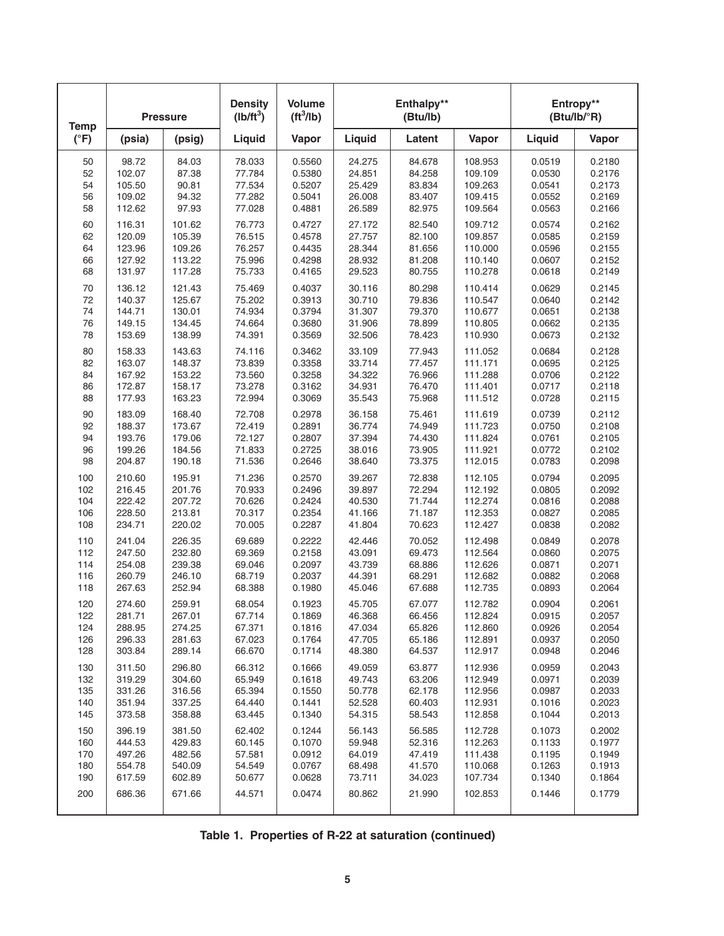| <b>Temp</b>   |        | <b>Pressure</b> | <b>Density</b><br>$(Ib/ft^3)$ | <b>Volume</b><br>$(tt^3/lb)$ |        | Enthalpy**<br>(Btu/lb) |         |        | Entropy**<br>(Btu/lb/°R) |
|---------------|--------|-----------------|-------------------------------|------------------------------|--------|------------------------|---------|--------|--------------------------|
| $(^{\circ}F)$ | (psia) | (psig)          | Liquid                        | Vapor                        | Liquid | Latent                 | Vapor   | Liquid | Vapor                    |
| 50            | 98.72  | 84.03           | 78.033                        | 0.5560                       | 24.275 | 84.678                 | 108.953 | 0.0519 | 0.2180                   |
| 52            | 102.07 | 87.38           | 77.784                        | 0.5380                       | 24.851 | 84.258                 | 109.109 | 0.0530 | 0.2176                   |
| 54            | 105.50 | 90.81           | 77.534                        | 0.5207                       | 25.429 | 83.834                 | 109.263 | 0.0541 | 0.2173                   |
| 56            | 109.02 | 94.32           | 77.282                        | 0.5041                       | 26.008 | 83.407                 | 109.415 | 0.0552 | 0.2169                   |
| 58            | 112.62 | 97.93           | 77.028                        | 0.4881                       | 26.589 | 82.975                 | 109.564 | 0.0563 | 0.2166                   |
| 60            | 116.31 | 101.62          | 76.773                        | 0.4727                       | 27.172 | 82.540                 | 109.712 | 0.0574 | 0.2162                   |
| 62            | 120.09 | 105.39          | 76.515                        | 0.4578                       | 27.757 | 82.100                 | 109.857 | 0.0585 | 0.2159                   |
| 64            | 123.96 | 109.26          | 76.257                        | 0.4435                       | 28.344 | 81.656                 | 110.000 | 0.0596 | 0.2155                   |
| 66            | 127.92 | 113.22          | 75.996                        | 0.4298                       | 28.932 | 81.208                 | 110.140 | 0.0607 | 0.2152                   |
| 68            | 131.97 | 117.28          | 75.733                        | 0.4165                       | 29.523 | 80.755                 | 110.278 | 0.0618 | 0.2149                   |
| 70            | 136.12 | 121.43          | 75.469                        | 0.4037                       | 30.116 | 80.298                 | 110.414 | 0.0629 | 0.2145                   |
| 72            | 140.37 | 125.67          | 75.202                        | 0.3913                       | 30.710 | 79.836                 | 110.547 | 0.0640 | 0.2142                   |
| 74            | 144.71 | 130.01          | 74.934                        | 0.3794                       | 31.307 | 79.370                 | 110.677 | 0.0651 | 0.2138                   |
| 76            | 149.15 | 134.45          | 74.664                        | 0.3680                       | 31.906 | 78.899                 | 110.805 | 0.0662 | 0.2135                   |
| 78            | 153.69 | 138.99          | 74.391                        | 0.3569                       | 32.506 | 78.423                 | 110.930 | 0.0673 | 0.2132                   |
| 80            | 158.33 | 143.63          | 74.116                        | 0.3462                       | 33.109 | 77.943                 | 111.052 | 0.0684 | 0.2128                   |
| 82            | 163.07 | 148.37          | 73.839                        | 0.3358                       | 33.714 | 77.457                 | 111.171 | 0.0695 | 0.2125                   |
| 84            | 167.92 | 153.22          | 73.560                        | 0.3258                       | 34.322 | 76.966                 | 111.288 | 0.0706 | 0.2122                   |
| 86            | 172.87 | 158.17          | 73.278                        | 0.3162                       | 34.931 | 76.470                 | 111.401 | 0.0717 | 0.2118                   |
| 88            | 177.93 | 163.23          | 72.994                        | 0.3069                       | 35.543 | 75.968                 | 111.512 | 0.0728 | 0.2115                   |
| 90            | 183.09 | 168.40          | 72.708                        | 0.2978                       | 36.158 | 75.461                 | 111.619 | 0.0739 | 0.2112                   |
| 92            | 188.37 | 173.67          | 72.419                        | 0.2891                       | 36.774 | 74.949                 | 111.723 | 0.0750 | 0.2108                   |
| 94            | 193.76 | 179.06          | 72.127                        | 0.2807                       | 37.394 | 74.430                 | 111.824 | 0.0761 | 0.2105                   |
| 96            | 199.26 | 184.56          | 71.833                        | 0.2725                       | 38.016 | 73.905                 | 111.921 | 0.0772 | 0.2102                   |
| 98            | 204.87 | 190.18          | 71.536                        | 0.2646                       | 38.640 | 73.375                 | 112.015 | 0.0783 | 0.2098                   |
| 100           | 210.60 | 195.91          | 71.236                        | 0.2570                       | 39.267 | 72.838                 | 112.105 | 0.0794 | 0.2095                   |
| 102           | 216.45 | 201.76          | 70.933                        | 0.2496                       | 39.897 | 72.294                 | 112.192 | 0.0805 | 0.2092                   |
| 104           | 222.42 | 207.72          | 70.626                        | 0.2424                       | 40.530 | 71.744                 | 112.274 | 0.0816 | 0.2088                   |
| 106           | 228.50 | 213.81          | 70.317                        | 0.2354                       | 41.166 | 71.187                 | 112.353 | 0.0827 | 0.2085                   |
| 108           | 234.71 | 220.02          | 70.005                        | 0.2287                       | 41.804 | 70.623                 | 112.427 | 0.0838 | 0.2082                   |
| 110           | 241.04 | 226.35          | 69.689                        | 0.2222                       | 42.446 | 70.052                 | 112.498 | 0.0849 | 0.2078                   |
| 112           | 247.50 | 232.80          | 69.369                        | 0.2158                       | 43.091 | 69.473                 | 112.564 | 0.0860 | 0.2075                   |
| 114           | 254.08 | 239.38          | 69.046                        | 0.2097                       | 43.739 | 68.886                 | 112.626 | 0.0871 | 0.2071                   |
| 116           | 260.79 | 246.10          | 68.719                        | 0.2037                       | 44.391 | 68.291                 | 112.682 | 0.0882 | 0.2068                   |
| 118           | 267.63 | 252.94          | 68.388                        | 0.1980                       | 45.046 | 67.688                 | 112.735 | 0.0893 | 0.2064                   |
| 120           | 274.60 | 259.91          | 68.054                        | 0.1923                       | 45.705 | 67.077                 | 112.782 | 0.0904 | 0.2061                   |
| 122           | 281.71 | 267.01          | 67.714                        | 0.1869                       | 46.368 | 66.456                 | 112.824 | 0.0915 | 0.2057                   |
| 124           | 288.95 | 274.25          | 67.371                        | 0.1816                       | 47.034 | 65.826                 | 112.860 | 0.0926 | 0.2054                   |
| 126           | 296.33 | 281.63          | 67.023                        | 0.1764                       | 47.705 | 65.186                 | 112.891 | 0.0937 | 0.2050                   |
| 128           | 303.84 | 289.14          | 66.670                        | 0.1714                       | 48.380 | 64.537                 | 112.917 | 0.0948 | 0.2046                   |
| 130           | 311.50 | 296.80          | 66.312                        | 0.1666                       | 49.059 | 63.877                 | 112.936 | 0.0959 | 0.2043                   |
| 132           | 319.29 | 304.60          | 65.949                        | 0.1618                       | 49.743 | 63.206                 | 112.949 | 0.0971 | 0.2039                   |
| 135           | 331.26 | 316.56          | 65.394                        | 0.1550                       | 50.778 | 62.178                 | 112.956 | 0.0987 | 0.2033                   |
| 140           | 351.94 | 337.25          | 64.440                        | 0.1441                       | 52.528 | 60.403                 | 112.931 | 0.1016 | 0.2023                   |
| 145           | 373.58 | 358.88          | 63.445                        | 0.1340                       | 54.315 | 58.543                 | 112.858 | 0.1044 | 0.2013                   |
| 150           | 396.19 | 381.50          | 62.402                        | 0.1244                       | 56.143 | 56.585                 | 112.728 | 0.1073 | 0.2002                   |
| 160           | 444.53 | 429.83          | 60.145                        | 0.1070                       | 59.948 | 52.316                 | 112.263 | 0.1133 | 0.1977                   |
| 170           | 497.26 | 482.56          | 57.581                        | 0.0912                       | 64.019 | 47.419                 | 111.438 | 0.1195 | 0.1949                   |
| 180           | 554.78 | 540.09          | 54.549                        | 0.0767                       | 68.498 | 41.570                 | 110.068 | 0.1263 | 0.1913                   |
| 190           | 617.59 | 602.89          | 50.677                        | 0.0628                       | 73.711 | 34.023                 | 107.734 | 0.1340 | 0.1864                   |
| 200           | 686.36 | 671.66          | 44.571                        | 0.0474                       | 80.862 | 21.990                 | 102.853 | 0.1446 | 0.1779                   |

|  |  |  | Table 1. Properties of R-22 at saturation (continued) |  |
|--|--|--|-------------------------------------------------------|--|
|--|--|--|-------------------------------------------------------|--|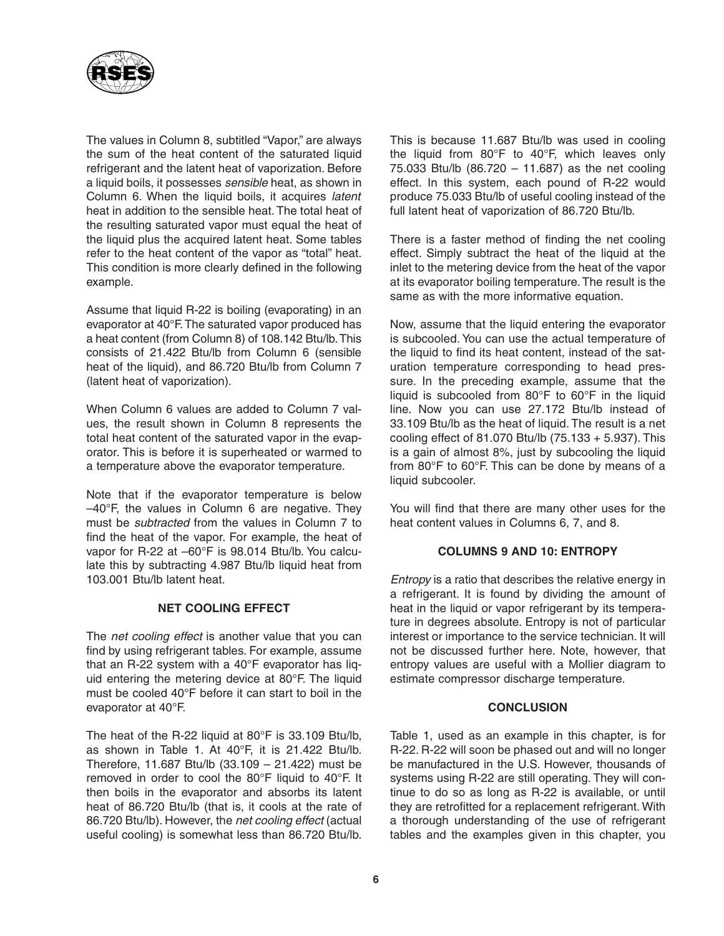

The values in Column 8, subtitled "Vapor," are always the sum of the heat content of the saturated liquid refrigerant and the latent heat of vaporization. Before a liquid boils, it possesses *sensible* heat, as shown in Column 6. When the liquid boils, it acquires *latent* heat in addition to the sensible heat. The total heat of the resulting saturated vapor must equal the heat of the liquid plus the acquired latent heat. Some tables refer to the heat content of the vapor as "total" heat. This condition is more clearly defined in the following example.

Assume that liquid R-22 is boiling (evaporating) in an evaporator at 40°F.The saturated vapor produced has a heat content (from Column 8) of 108.142 Btu/lb.This consists of 21.422 Btu/lb from Column 6 (sensible heat of the liquid), and 86.720 Btu/lb from Column 7 (latent heat of vaporization).

When Column 6 values are added to Column 7 values, the result shown in Column 8 represents the total heat content of the saturated vapor in the evaporator. This is before it is superheated or warmed to a temperature above the evaporator temperature.

Note that if the evaporator temperature is below –40°F, the values in Column 6 are negative. They must be *subtracted* from the values in Column 7 to find the heat of the vapor. For example, the heat of vapor for R-22 at –60°F is 98.014 Btu/lb. You calculate this by subtracting 4.987 Btu/lb liquid heat from 103.001 Btu/lb latent heat.

# **NET COOLING EFFECT**

The *net cooling effect* is another value that you can find by using refrigerant tables. For example, assume that an R-22 system with a 40°F evaporator has liquid entering the metering device at 80°F. The liquid must be cooled 40°F before it can start to boil in the evaporator at 40°F.

The heat of the R-22 liquid at 80°F is 33.109 Btu/lb, as shown in Table 1. At 40°F, it is 21.422 Btu/lb. Therefore, 11.687 Btu/lb (33.109 – 21.422) must be removed in order to cool the 80°F liquid to 40°F. It then boils in the evaporator and absorbs its latent heat of 86.720 Btu/lb (that is, it cools at the rate of 86.720 Btu/lb). However, the *net cooling effect* (actual useful cooling) is somewhat less than 86.720 Btu/lb.

This is because 11.687 Btu/lb was used in cooling the liquid from 80°F to 40°F, which leaves only 75.033 Btu/lb (86.720 – 11.687) as the net cooling effect. In this system, each pound of R-22 would produce 75.033 Btu/lb of useful cooling instead of the full latent heat of vaporization of 86.720 Btu/lb.

There is a faster method of finding the net cooling effect. Simply subtract the heat of the liquid at the inlet to the metering device from the heat of the vapor at its evaporator boiling temperature. The result is the same as with the more informative equation.

Now, assume that the liquid entering the evaporator is subcooled. You can use the actual temperature of the liquid to find its heat content, instead of the saturation temperature corresponding to head pressure. In the preceding example, assume that the liquid is subcooled from 80°F to 60°F in the liquid line. Now you can use 27.172 Btu/lb instead of 33.109 Btu/lb as the heat of liquid. The result is a net cooling effect of 81.070 Btu/lb (75.133 + 5.937). This is a gain of almost 8%, just by subcooling the liquid from 80°F to 60°F. This can be done by means of a liquid subcooler.

You will find that there are many other uses for the heat content values in Columns 6, 7, and 8.

# **COLUMNS 9 AND 10: ENTROPY**

*Entropy* is a ratio that describes the relative energy in a refrigerant. It is found by dividing the amount of heat in the liquid or vapor refrigerant by its temperature in degrees absolute. Entropy is not of particular interest or importance to the service technician. It will not be discussed further here. Note, however, that entropy values are useful with a Mollier diagram to estimate compressor discharge temperature.

#### **CONCLUSION**

Table 1, used as an example in this chapter, is for R-22. R-22 will soon be phased out and will no longer be manufactured in the U.S. However, thousands of systems using R-22 are still operating. They will continue to do so as long as R-22 is available, or until they are retrofitted for a replacement refrigerant. With a thorough understanding of the use of refrigerant tables and the examples given in this chapter, you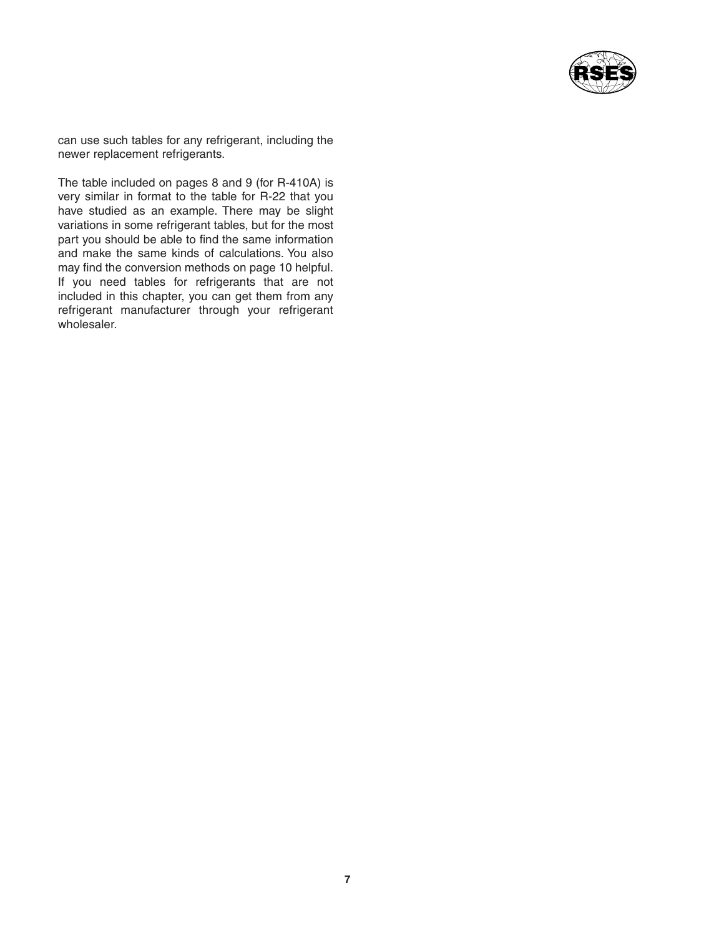

can use such tables for any refrigerant, including the newer replacement refrigerants.

The table included on pages 8 and 9 (for R-410A) is very similar in format to the table for R-22 that you have studied as an example. There may be slight variations in some refrigerant tables, but for the most part you should be able to find the same information and make the same kinds of calculations. You also may find the conversion methods on page 10 helpful. If you need tables for refrigerants that are not included in this chapter, you can get them from any refrigerant manufacturer through your refrigerant wholesaler.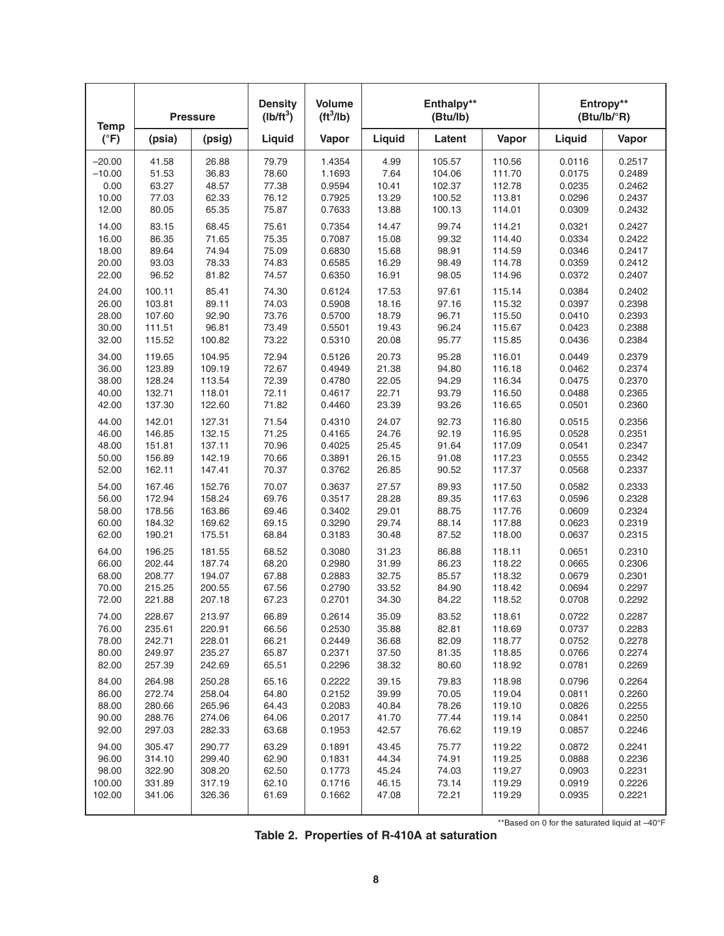| <b>Temp</b>   |        | <b>Pressure</b> | <b>Density</b><br>$(Ib/ft^3)$ | <b>Volume</b><br>ft <sup>3</sup> /lb) |        | Enthalpy**<br>(Btu/lb) |        |        | Entropy**<br>$(Btu/lb/^{\circ}R)$ |
|---------------|--------|-----------------|-------------------------------|---------------------------------------|--------|------------------------|--------|--------|-----------------------------------|
| $(^{\circ}F)$ | (psia) | (psig)          | Liquid                        | Vapor                                 | Liquid | Latent                 | Vapor  | Liquid | Vapor                             |
| $-20.00$      | 41.58  | 26.88           | 79.79                         | 1.4354                                | 4.99   | 105.57                 | 110.56 | 0.0116 | 0.2517                            |
| $-10.00$      | 51.53  | 36.83           | 78.60                         | 1.1693                                | 7.64   | 104.06                 | 111.70 | 0.0175 | 0.2489                            |
| 0.00          | 63.27  | 48.57           | 77.38                         | 0.9594                                | 10.41  | 102.37                 | 112.78 | 0.0235 | 0.2462                            |
| 10.00         | 77.03  | 62.33           | 76.12                         | 0.7925                                | 13.29  | 100.52                 | 113.81 | 0.0296 | 0.2437                            |
| 12.00         | 80.05  | 65.35           | 75.87                         | 0.7633                                | 13.88  | 100.13                 | 114.01 | 0.0309 | 0.2432                            |
| 14.00         | 83.15  | 68.45           | 75.61                         | 0.7354                                | 14.47  | 99.74                  | 114.21 | 0.0321 | 0.2427                            |
| 16.00         | 86.35  | 71.65           | 75.35                         | 0.7087                                | 15.08  | 99.32                  | 114.40 | 0.0334 | 0.2422                            |
| 18.00         | 89.64  | 74.94           | 75.09                         | 0.6830                                | 15.68  | 98.91                  | 114.59 | 0.0346 | 0.2417                            |
| 20.00         | 93.03  | 78.33           | 74.83                         | 0.6585                                | 16.29  | 98.49                  | 114.78 | 0.0359 | 0.2412                            |
| 22.00         | 96.52  | 81.82           | 74.57                         | 0.6350                                | 16.91  | 98.05                  | 114.96 | 0.0372 | 0.2407                            |
| 24.00         | 100.11 | 85.41           | 74.30                         | 0.6124                                | 17.53  | 97.61                  | 115.14 | 0.0384 | 0.2402                            |
| 26.00         | 103.81 | 89.11           | 74.03                         | 0.5908                                | 18.16  | 97.16                  | 115.32 | 0.0397 | 0.2398                            |
| 28.00         | 107.60 | 92.90           | 73.76                         | 0.5700                                | 18.79  | 96.71                  | 115.50 | 0.0410 | 0.2393                            |
| 30.00         | 111.51 | 96.81           | 73.49                         | 0.5501                                | 19.43  | 96.24                  | 115.67 | 0.0423 | 0.2388                            |
| 32.00         | 115.52 | 100.82          | 73.22                         | 0.5310                                | 20.08  | 95.77                  | 115.85 | 0.0436 | 0.2384                            |
| 34.00         | 119.65 | 104.95          | 72.94                         | 0.5126                                | 20.73  | 95.28                  | 116.01 | 0.0449 | 0.2379                            |
| 36.00         | 123.89 | 109.19          | 72.67                         | 0.4949                                | 21.38  | 94.80                  | 116.18 | 0.0462 | 0.2374                            |
| 38.00         | 128.24 | 113.54          | 72.39                         | 0.4780                                | 22.05  | 94.29                  | 116.34 | 0.0475 | 0.2370                            |
| 40.00         | 132.71 | 118.01          | 72.11                         | 0.4617                                | 22.71  | 93.79                  | 116.50 | 0.0488 | 0.2365                            |
| 42.00         | 137.30 | 122.60          | 71.82                         | 0.4460                                | 23.39  | 93.26                  | 116.65 | 0.0501 | 0.2360                            |
| 44.00         | 142.01 | 127.31          | 71.54                         | 0.4310                                | 24.07  | 92.73                  | 116.80 | 0.0515 | 0.2356                            |
| 46.00         | 146.85 | 132.15          | 71.25                         | 0.4165                                | 24.76  | 92.19                  | 116.95 | 0.0528 | 0.2351                            |
| 48.00         | 151.81 | 137.11          | 70.96                         | 0.4025                                | 25.45  | 91.64                  | 117.09 | 0.0541 | 0.2347                            |
| 50.00         | 156.89 | 142.19          | 70.66                         | 0.3891                                | 26.15  | 91.08                  | 117.23 | 0.0555 | 0.2342                            |
| 52.00         | 162.11 | 147.41          | 70.37                         | 0.3762                                | 26.85  | 90.52                  | 117.37 | 0.0568 | 0.2337                            |
| 54.00         | 167.46 | 152.76          | 70.07                         | 0.3637                                | 27.57  | 89.93                  | 117.50 | 0.0582 | 0.2333                            |
| 56.00         | 172.94 | 158.24          | 69.76                         | 0.3517                                | 28.28  | 89.35                  | 117.63 | 0.0596 | 0.2328                            |
| 58.00         | 178.56 | 163.86          | 69.46                         | 0.3402                                | 29.01  | 88.75                  | 117.76 | 0.0609 | 0.2324                            |
| 60.00         | 184.32 | 169.62          | 69.15                         | 0.3290                                | 29.74  | 88.14                  | 117.88 | 0.0623 | 0.2319                            |
| 62.00         | 190.21 | 175.51          | 68.84                         | 0.3183                                | 30.48  | 87.52                  | 118.00 | 0.0637 | 0.2315                            |
| 64.00         | 196.25 | 181.55          | 68.52                         | 0.3080                                | 31.23  | 86.88                  | 118.11 | 0.0651 | 0.2310                            |
| 66.00         | 202.44 | 187.74          | 68.20                         | 0.2980                                | 31.99  | 86.23                  | 118.22 | 0.0665 | 0.2306                            |
| 68.00         | 208.77 | 194.07          | 67.88                         | 0.2883                                | 32.75  | 85.57                  | 118.32 | 0.0679 | 0.2301                            |
| 70.00         | 215.25 | 200.55          | 67.56                         | 0.2790                                | 33.52  | 84.90                  | 118.42 | 0.0694 | 0.2297                            |
| 72.00         | 221.88 | 207.18          | 67.23                         | 0.2701                                | 34.30  | 84.22                  | 118.52 | 0.0708 | 0.2292                            |
| 74.00         | 228.67 | 213.97          | 66.89                         | 0.2614                                | 35.09  | 83.52                  | 118.61 | 0.0722 | 0.2287                            |
| 76.00         | 235.61 | 220.91          | 66.56                         | 0.2530                                | 35.88  | 82.81                  | 118.69 | 0.0737 | 0.2283                            |
| 78.00         | 242.71 | 228.01          | 66.21                         | 0.2449                                | 36.68  | 82.09                  | 118.77 | 0.0752 | 0.2278                            |
| 80.00         | 249.97 | 235.27          | 65.87                         | 0.2371                                | 37.50  | 81.35                  | 118.85 | 0.0766 | 0.2274                            |
| 82.00         | 257.39 | 242.69          | 65.51                         | 0.2296                                | 38.32  | 80.60                  | 118.92 | 0.0781 | 0.2269                            |
| 84.00         | 264.98 | 250.28          | 65.16                         | 0.2222                                | 39.15  | 79.83                  | 118.98 | 0.0796 | 0.2264                            |
| 86.00         | 272.74 | 258.04          | 64.80                         | 0.2152                                | 39.99  | 70.05                  | 119.04 | 0.0811 | 0.2260                            |
| 88.00         | 280.66 | 265.96          | 64.43                         | 0.2083                                | 40.84  | 78.26                  | 119.10 | 0.0826 | 0.2255                            |
| 90.00         | 288.76 | 274.06          | 64.06                         | 0.2017                                | 41.70  | 77.44                  | 119.14 | 0.0841 | 0.2250                            |
| 92.00         | 297.03 | 282.33          | 63.68                         | 0.1953                                | 42.57  | 76.62                  | 119.19 | 0.0857 | 0.2246                            |
| 94.00         | 305.47 | 290.77          | 63.29                         | 0.1891                                | 43.45  | 75.77                  | 119.22 | 0.0872 | 0.2241                            |
| 96.00         | 314.10 | 299.40          | 62.90                         | 0.1831                                | 44.34  | 74.91                  | 119.25 | 0.0888 | 0.2236                            |
| 98.00         | 322.90 | 308.20          | 62.50                         | 0.1773                                | 45.24  | 74.03                  | 119.27 | 0.0903 | 0.2231                            |
| 100.00        | 331.89 | 317.19          | 62.10                         | 0.1716                                | 46.15  | 73.14                  | 119.29 | 0.0919 | 0.2226                            |
| 102.00        | 341.06 | 326.36          | 61.69                         | 0.1662                                | 47.08  | 72.21                  | 119.29 | 0.0935 | 0.2221                            |

|  |  |  | Table 2. Properties of R-410A at saturation |
|--|--|--|---------------------------------------------|
|--|--|--|---------------------------------------------|

\*\*Based on 0 for the saturated liquid at –40°F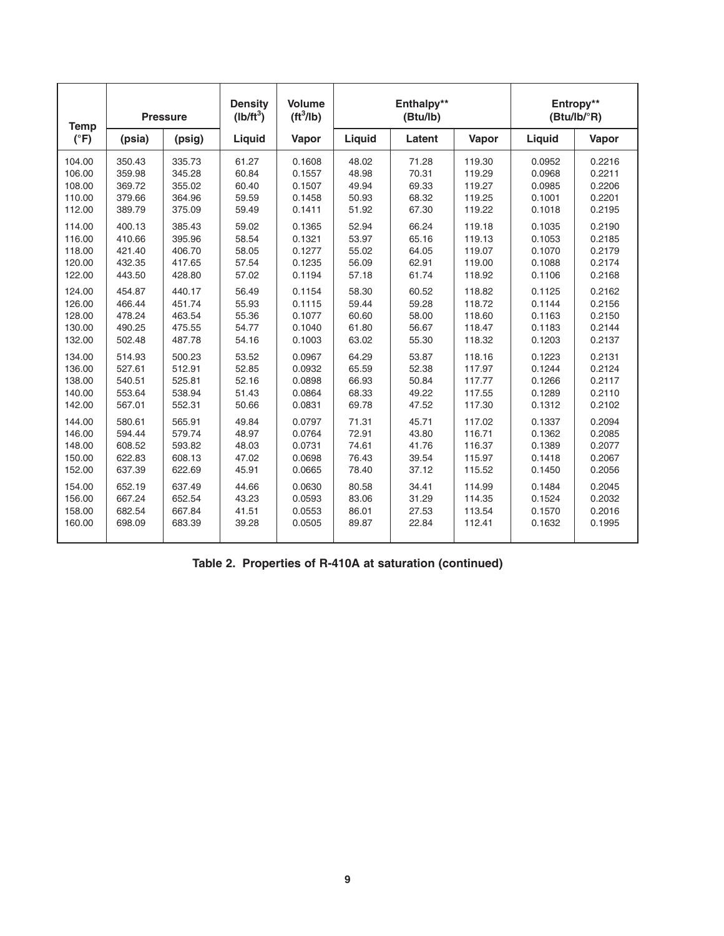| <b>Temp</b>   | <b>Pressure</b> |        | <b>Density</b><br>$(Ib/ft^3)$ | <b>Volume</b><br>ft <sup>3</sup> /lb) |        | Enthalpy**<br>(Btu/lb) |        | Entropy**<br>(Btu/lb/°R) |        |
|---------------|-----------------|--------|-------------------------------|---------------------------------------|--------|------------------------|--------|--------------------------|--------|
| $(^{\circ}F)$ | (psia)          | (psig) | Liquid                        | Vapor                                 | Liquid | Latent                 | Vapor  | Liquid                   | Vapor  |
| 104.00        | 350.43          | 335.73 | 61.27                         | 0.1608                                | 48.02  | 71.28                  | 119.30 | 0.0952                   | 0.2216 |
| 106.00        | 359.98          | 345.28 | 60.84                         | 0.1557                                | 48.98  | 70.31                  | 119.29 | 0.0968                   | 0.2211 |
| 108.00        | 369.72          | 355.02 | 60.40                         | 0.1507                                | 49.94  | 69.33                  | 119.27 | 0.0985                   | 0.2206 |
| 110.00        | 379.66          | 364.96 | 59.59                         | 0.1458                                | 50.93  | 68.32                  | 119.25 | 0.1001                   | 0.2201 |
| 112.00        | 389.79          | 375.09 | 59.49                         | 0.1411                                | 51.92  | 67.30                  | 119.22 | 0.1018                   | 0.2195 |
| 114.00        | 400.13          | 385.43 | 59.02                         | 0.1365                                | 52.94  | 66.24                  | 119.18 | 0.1035                   | 0.2190 |
| 116.00        | 410.66          | 395.96 | 58.54                         | 0.1321                                | 53.97  | 65.16                  | 119.13 | 0.1053                   | 0.2185 |
| 118.00        | 421.40          | 406.70 | 58.05                         | 0.1277                                | 55.02  | 64.05                  | 119.07 | 0.1070                   | 0.2179 |
| 120.00        | 432.35          | 417.65 | 57.54                         | 0.1235                                | 56.09  | 62.91                  | 119.00 | 0.1088                   | 0.2174 |
| 122.00        | 443.50          | 428.80 | 57.02                         | 0.1194                                | 57.18  | 61.74                  | 118.92 | 0.1106                   | 0.2168 |
| 124.00        | 454.87          | 440.17 | 56.49                         | 0.1154                                | 58.30  | 60.52                  | 118.82 | 0.1125                   | 0.2162 |
| 126.00        | 466.44          | 451.74 | 55.93                         | 0.1115                                | 59.44  | 59.28                  | 118.72 | 0.1144                   | 0.2156 |
| 128.00        | 478.24          | 463.54 | 55.36                         | 0.1077                                | 60.60  | 58.00                  | 118.60 | 0.1163                   | 0.2150 |
| 130.00        | 490.25          | 475.55 | 54.77                         | 0.1040                                | 61.80  | 56.67                  | 118.47 | 0.1183                   | 0.2144 |
| 132.00        | 502.48          | 487.78 | 54.16                         | 0.1003                                | 63.02  | 55.30                  | 118.32 | 0.1203                   | 0.2137 |
| 134.00        | 514.93          | 500.23 | 53.52                         | 0.0967                                | 64.29  | 53.87                  | 118.16 | 0.1223                   | 0.2131 |
| 136.00        | 527.61          | 512.91 | 52.85                         | 0.0932                                | 65.59  | 52.38                  | 117.97 | 0.1244                   | 0.2124 |
| 138.00        | 540.51          | 525.81 | 52.16                         | 0.0898                                | 66.93  | 50.84                  | 117.77 | 0.1266                   | 0.2117 |
| 140.00        | 553.64          | 538.94 | 51.43                         | 0.0864                                | 68.33  | 49.22                  | 117.55 | 0.1289                   | 0.2110 |
| 142.00        | 567.01          | 552.31 | 50.66                         | 0.0831                                | 69.78  | 47.52                  | 117.30 | 0.1312                   | 0.2102 |
| 144.00        | 580.61          | 565.91 | 49.84                         | 0.0797                                | 71.31  | 45.71                  | 117.02 | 0.1337                   | 0.2094 |
| 146.00        | 594.44          | 579.74 | 48.97                         | 0.0764                                | 72.91  | 43.80                  | 116.71 | 0.1362                   | 0.2085 |
| 148.00        | 608.52          | 593.82 | 48.03                         | 0.0731                                | 74.61  | 41.76                  | 116.37 | 0.1389                   | 0.2077 |
| 150.00        | 622.83          | 608.13 | 47.02                         | 0.0698                                | 76.43  | 39.54                  | 115.97 | 0.1418                   | 0.2067 |
| 152.00        | 637.39          | 622.69 | 45.91                         | 0.0665                                | 78.40  | 37.12                  | 115.52 | 0.1450                   | 0.2056 |
| 154.00        | 652.19          | 637.49 | 44.66                         | 0.0630                                | 80.58  | 34.41                  | 114.99 | 0.1484                   | 0.2045 |
| 156.00        | 667.24          | 652.54 | 43.23                         | 0.0593                                | 83.06  | 31.29                  | 114.35 | 0.1524                   | 0.2032 |
| 158.00        | 682.54          | 667.84 | 41.51                         | 0.0553                                | 86.01  | 27.53                  | 113.54 | 0.1570                   | 0.2016 |
| 160.00        | 698.09          | 683.39 | 39.28                         | 0.0505                                | 89.87  | 22.84                  | 112.41 | 0.1632                   | 0.1995 |

|  | Table 2. Properties of R-410A at saturation (continued) |  |
|--|---------------------------------------------------------|--|
|--|---------------------------------------------------------|--|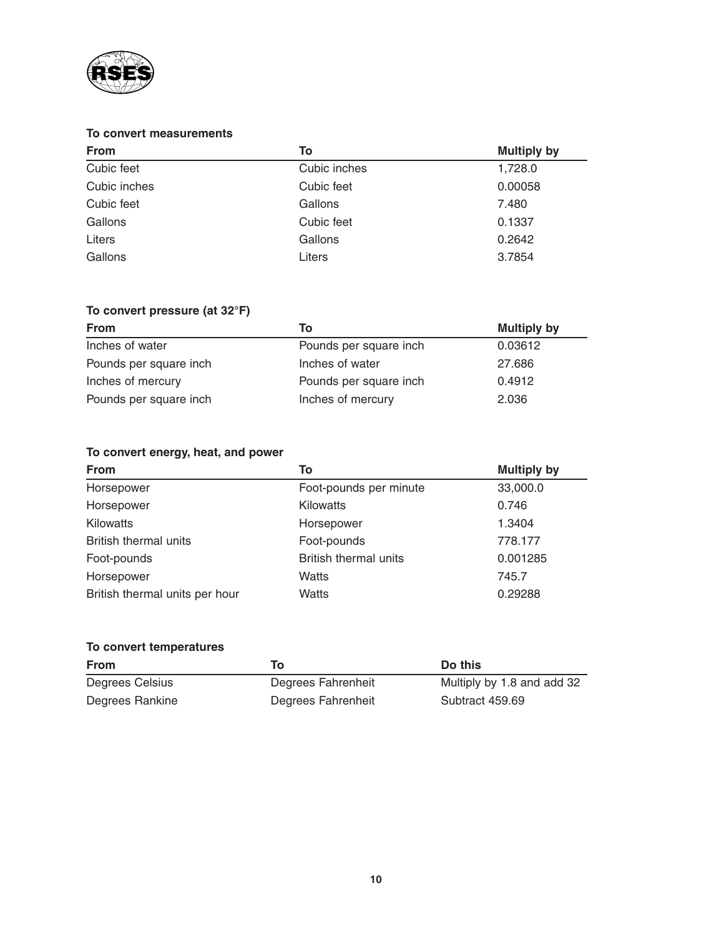

# **To convert measurements**

| <b>From</b>  | To           | <b>Multiply by</b> |
|--------------|--------------|--------------------|
| Cubic feet   | Cubic inches | 1,728.0            |
| Cubic inches | Cubic feet   | 0.00058            |
| Cubic feet   | Gallons      | 7.480              |
| Gallons      | Cubic feet   | 0.1337             |
| Liters       | Gallons      | 0.2642             |
| Gallons      | Liters       | 3.7854             |

# **To convert pressure (at 32°F)**

| <b>From</b>            | Тο                     | <b>Multiply by</b> |
|------------------------|------------------------|--------------------|
| Inches of water        | Pounds per square inch | 0.03612            |
| Pounds per square inch | Inches of water        | 27.686             |
| Inches of mercury      | Pounds per square inch | 0.4912             |
| Pounds per square inch | Inches of mercury      | 2.036              |

# **To convert energy, heat, and power**

| <b>From</b>                    | To                           | <b>Multiply by</b> |
|--------------------------------|------------------------------|--------------------|
| Horsepower                     | Foot-pounds per minute       | 33,000.0           |
| Horsepower                     | <b>Kilowatts</b>             | 0.746              |
| <b>Kilowatts</b>               | Horsepower                   | 1.3404             |
| British thermal units          | Foot-pounds                  | 778.177            |
| Foot-pounds                    | <b>British thermal units</b> | 0.001285           |
| Horsepower                     | <b>Watts</b>                 | 745.7              |
| British thermal units per hour | Watts                        | 0.29288            |

# **To convert temperatures From Do this**

| Degrees Celsius | Degrees Fahrenheit | Multiply by 1.8 and add 32 |
|-----------------|--------------------|----------------------------|
| Degrees Rankine | Degrees Fahrenheit | Subtract 459.69            |